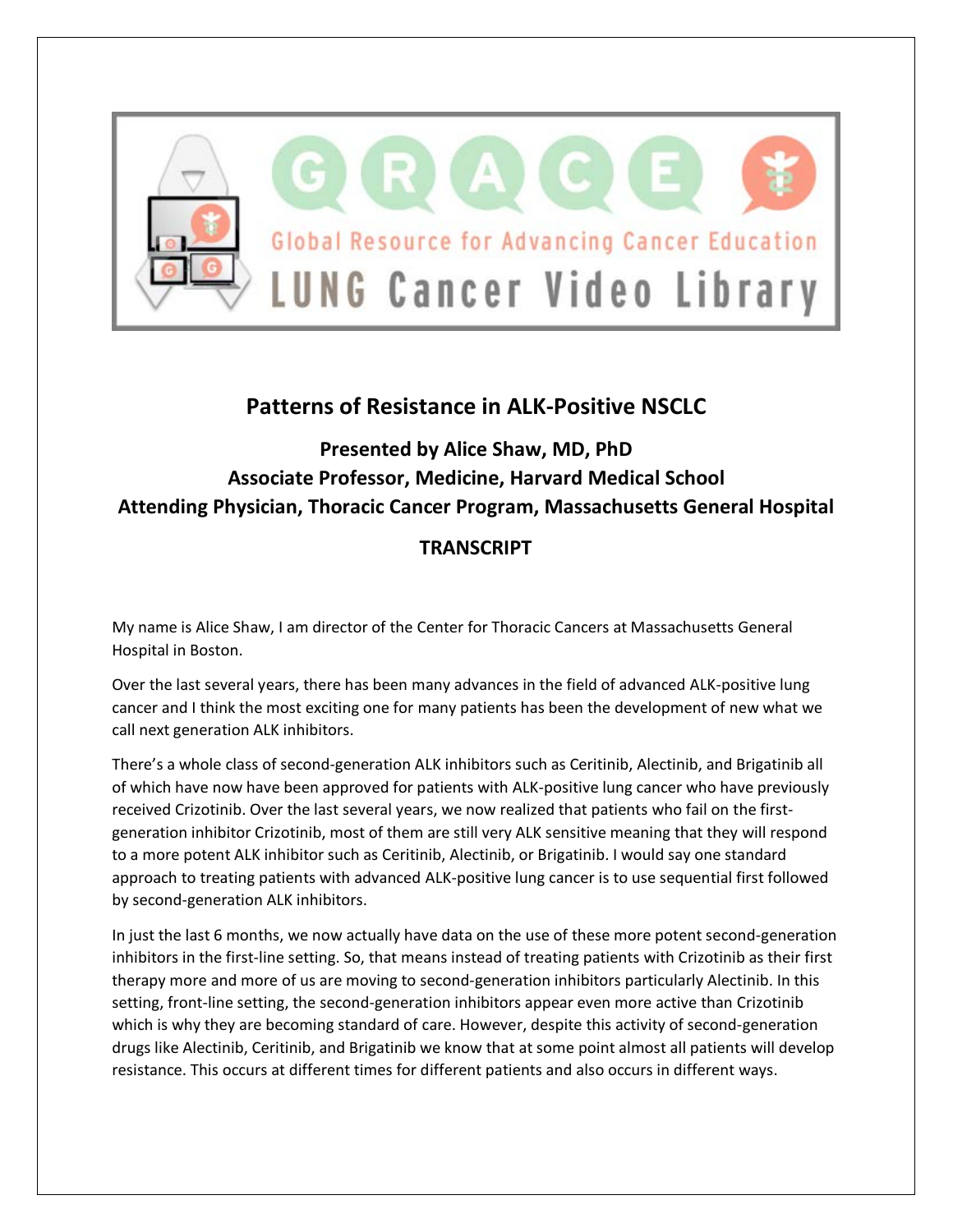

## **Patterns of Resistance in ALK-Positive NSCLC**

## **Presented by Alice Shaw, MD, PhD Associate Professor, Medicine, Harvard Medical School Attending Physician, Thoracic Cancer Program, Massachusetts General Hospital**

## **TRANSCRIPT**

My name is Alice Shaw, I am director of the Center for Thoracic Cancers at Massachusetts General Hospital in Boston.

Over the last several years, there has been many advances in the field of advanced ALK-positive lung cancer and I think the most exciting one for many patients has been the development of new what we call next generation ALK inhibitors.

There's a whole class of second-generation ALK inhibitors such as Ceritinib, Alectinib, and Brigatinib all of which have now have been approved for patients with ALK-positive lung cancer who have previously received Crizotinib. Over the last several years, we now realized that patients who fail on the firstgeneration inhibitor Crizotinib, most of them are still very ALK sensitive meaning that they will respond to a more potent ALK inhibitor such as Ceritinib, Alectinib, or Brigatinib. I would say one standard approach to treating patients with advanced ALK-positive lung cancer is to use sequential first followed by second-generation ALK inhibitors.

In just the last 6 months, we now actually have data on the use of these more potent second-generation inhibitors in the first-line setting. So, that means instead of treating patients with Crizotinib as their first therapy more and more of us are moving to second-generation inhibitors particularly Alectinib. In this setting, front-line setting, the second-generation inhibitors appear even more active than Crizotinib which is why they are becoming standard of care. However, despite this activity of second-generation drugs like Alectinib, Ceritinib, and Brigatinib we know that at some point almost all patients will develop resistance. This occurs at different times for different patients and also occurs in different ways.